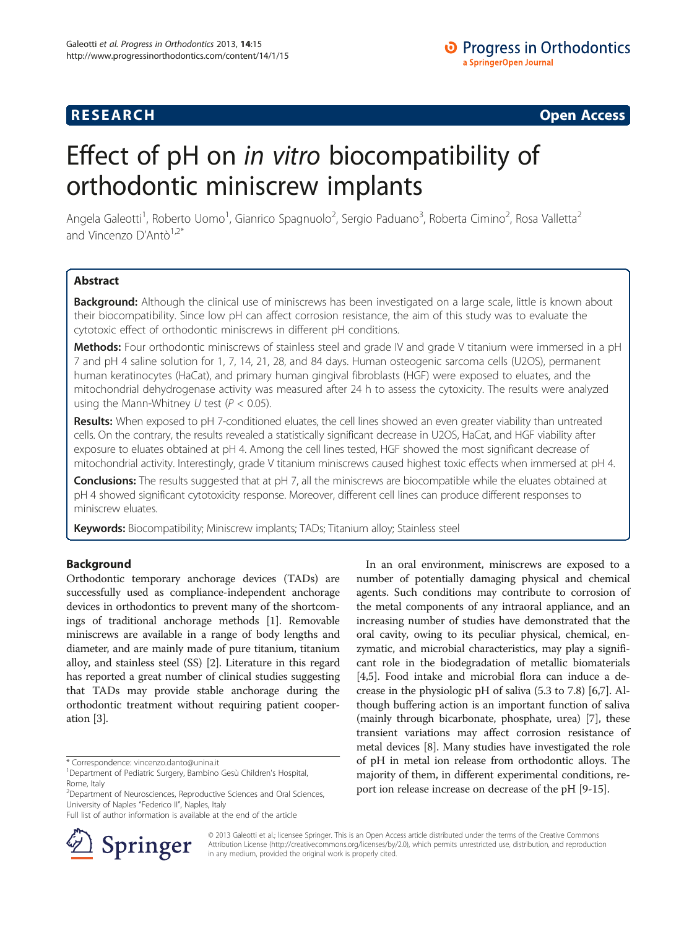**O** Progress in Orthodontics a SpringerOpen Journal

# **RESEARCH RESEARCH CONSUMING ACCESS**

# Effect of pH on in vitro biocompatibility of orthodontic miniscrew implants

Angela Galeotti<sup>1</sup>, Roberto Uomo<sup>1</sup>, Gianrico Spagnuolo<sup>2</sup>, Sergio Paduano<sup>3</sup>, Roberta Cimino<sup>2</sup>, Rosa Valletta<sup>2</sup> and Vincenzo D'Antò<sup>1,2\*</sup>

## **Abstract**

Background: Although the clinical use of miniscrews has been investigated on a large scale, little is known about their biocompatibility. Since low pH can affect corrosion resistance, the aim of this study was to evaluate the cytotoxic effect of orthodontic miniscrews in different pH conditions.

Methods: Four orthodontic miniscrews of stainless steel and grade IV and grade V titanium were immersed in a pH 7 and pH 4 saline solution for 1, 7, 14, 21, 28, and 84 days. Human osteogenic sarcoma cells (U2OS), permanent human keratinocytes (HaCat), and primary human gingival fibroblasts (HGF) were exposed to eluates, and the mitochondrial dehydrogenase activity was measured after 24 h to assess the cytoxicity. The results were analyzed using the Mann-Whitney U test ( $P < 0.05$ ).

Results: When exposed to pH 7-conditioned eluates, the cell lines showed an even greater viability than untreated cells. On the contrary, the results revealed a statistically significant decrease in U2OS, HaCat, and HGF viability after exposure to eluates obtained at pH 4. Among the cell lines tested, HGF showed the most significant decrease of mitochondrial activity. Interestingly, grade V titanium miniscrews caused highest toxic effects when immersed at pH 4.

Conclusions: The results suggested that at pH 7, all the miniscrews are biocompatible while the eluates obtained at pH 4 showed significant cytotoxicity response. Moreover, different cell lines can produce different responses to miniscrew eluates.

Keywords: Biocompatibility; Miniscrew implants; TADs; Titanium alloy; Stainless steel

### Background

Orthodontic temporary anchorage devices (TADs) are successfully used as compliance-independent anchorage devices in orthodontics to prevent many of the shortcomings of traditional anchorage methods [[1](#page-5-0)]. Removable miniscrews are available in a range of body lengths and diameter, and are mainly made of pure titanium, titanium alloy, and stainless steel (SS) [\[2](#page-5-0)]. Literature in this regard has reported a great number of clinical studies suggesting that TADs may provide stable anchorage during the orthodontic treatment without requiring patient cooperation [[3](#page-5-0)].

Full list of author information is available at the end of the article



In an oral environment, miniscrews are exposed to a number of potentially damaging physical and chemical agents. Such conditions may contribute to corrosion of the metal components of any intraoral appliance, and an increasing number of studies have demonstrated that the oral cavity, owing to its peculiar physical, chemical, enzymatic, and microbial characteristics, may play a significant role in the biodegradation of metallic biomaterials [[4,5](#page-5-0)]. Food intake and microbial flora can induce a decrease in the physiologic pH of saliva (5.3 to 7.8) [\[6,7\]](#page-5-0). Although buffering action is an important function of saliva (mainly through bicarbonate, phosphate, urea) [[7](#page-5-0)], these transient variations may affect corrosion resistance of metal devices [\[8](#page-5-0)]. Many studies have investigated the role of pH in metal ion release from orthodontic alloys. The majority of them, in different experimental conditions, report ion release increase on decrease of the pH [[9-15\]](#page-6-0).

© 2013 Galeotti et al.; licensee Springer. This is an Open Access article distributed under the terms of the Creative Commons Attribution License [\(http://creativecommons.org/licenses/by/2.0\)](http://creativecommons.org/licenses/by/2.0), which permits unrestricted use, distribution, and reproduction in any medium, provided the original work is properly cited.

<sup>\*</sup> Correspondence: [vincenzo.danto@unina.it](mailto:vincenzo.danto@unina.it) <sup>1</sup>

<sup>&</sup>lt;sup>1</sup> Department of Pediatric Surgery, Bambino Gesù Children's Hospital, Rome, Italy

<sup>2</sup> Department of Neurosciences, Reproductive Sciences and Oral Sciences, University of Naples "Federico II", Naples, Italy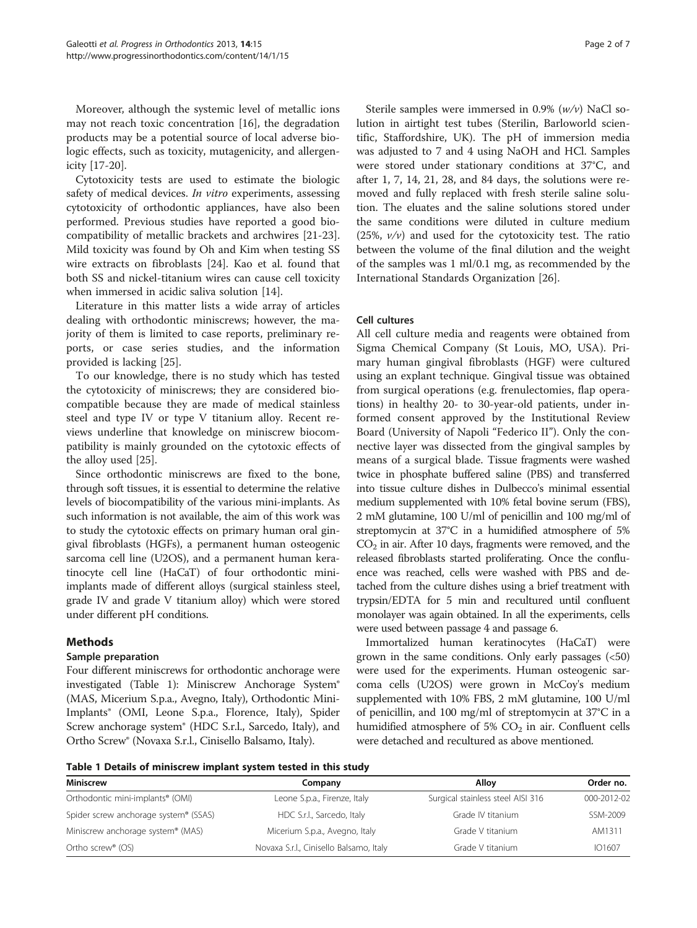Moreover, although the systemic level of metallic ions may not reach toxic concentration [\[16\]](#page-6-0), the degradation products may be a potential source of local adverse biologic effects, such as toxicity, mutagenicity, and allergenicity [[17-20](#page-6-0)].

Cytotoxicity tests are used to estimate the biologic safety of medical devices. *In vitro* experiments, assessing cytotoxicity of orthodontic appliances, have also been performed. Previous studies have reported a good biocompatibility of metallic brackets and archwires [\[21-23](#page-6-0)]. Mild toxicity was found by Oh and Kim when testing SS wire extracts on fibroblasts [\[24\]](#page-6-0). Kao et al. found that both SS and nickel-titanium wires can cause cell toxicity when immersed in acidic saliva solution [[14\]](#page-6-0).

Literature in this matter lists a wide array of articles dealing with orthodontic miniscrews; however, the majority of them is limited to case reports, preliminary reports, or case series studies, and the information provided is lacking [[25\]](#page-6-0).

To our knowledge, there is no study which has tested the cytotoxicity of miniscrews; they are considered biocompatible because they are made of medical stainless steel and type IV or type V titanium alloy. Recent reviews underline that knowledge on miniscrew biocompatibility is mainly grounded on the cytotoxic effects of the alloy used [\[25](#page-6-0)].

Since orthodontic miniscrews are fixed to the bone, through soft tissues, it is essential to determine the relative levels of biocompatibility of the various mini-implants. As such information is not available, the aim of this work was to study the cytotoxic effects on primary human oral gingival fibroblasts (HGFs), a permanent human osteogenic sarcoma cell line (U2OS), and a permanent human keratinocyte cell line (HaCaT) of four orthodontic miniimplants made of different alloys (surgical stainless steel, grade IV and grade V titanium alloy) which were stored under different pH conditions.

### Methods

#### Sample preparation

Four different miniscrews for orthodontic anchorage were investigated (Table 1): Miniscrew Anchorage System® (MAS, Micerium S.p.a., Avegno, Italy), Orthodontic Mini-Implants® (OMI, Leone S.p.a., Florence, Italy), Spider Screw anchorage system® (HDC S.r.l., Sarcedo, Italy), and Ortho Screw® (Novaxa S.r.l., Cinisello Balsamo, Italy).

Sterile samples were immersed in 0.9%  $(w/v)$  NaCl solution in airtight test tubes (Sterilin, Barloworld scientific, Staffordshire, UK). The pH of immersion media was adjusted to 7 and 4 using NaOH and HCl. Samples were stored under stationary conditions at 37°C, and after 1, 7, 14, 21, 28, and 84 days, the solutions were removed and fully replaced with fresh sterile saline solution. The eluates and the saline solutions stored under the same conditions were diluted in culture medium (25%,  $v/v$ ) and used for the cytotoxicity test. The ratio between the volume of the final dilution and the weight of the samples was 1 ml/0.1 mg, as recommended by the International Standards Organization [\[26](#page-6-0)].

### Cell cultures

All cell culture media and reagents were obtained from Sigma Chemical Company (St Louis, MO, USA). Primary human gingival fibroblasts (HGF) were cultured using an explant technique. Gingival tissue was obtained from surgical operations (e.g. frenulectomies, flap operations) in healthy 20- to 30-year-old patients, under informed consent approved by the Institutional Review Board (University of Napoli "Federico II"). Only the connective layer was dissected from the gingival samples by means of a surgical blade. Tissue fragments were washed twice in phosphate buffered saline (PBS) and transferred into tissue culture dishes in Dulbecco's minimal essential medium supplemented with 10% fetal bovine serum (FBS), 2 mM glutamine, 100 U/ml of penicillin and 100 mg/ml of streptomycin at 37°C in a humidified atmosphere of 5%  $CO<sub>2</sub>$  in air. After 10 days, fragments were removed, and the released fibroblasts started proliferating. Once the confluence was reached, cells were washed with PBS and detached from the culture dishes using a brief treatment with trypsin/EDTA for 5 min and recultured until confluent monolayer was again obtained. In all the experiments, cells were used between passage 4 and passage 6.

Immortalized human keratinocytes (HaCaT) were grown in the same conditions. Only early passages (<50) were used for the experiments. Human osteogenic sarcoma cells (U2OS) were grown in McCoy's medium supplemented with 10% FBS, 2 mM glutamine, 100 U/ml of penicillin, and 100 mg/ml of streptomycin at 37°C in a humidified atmosphere of 5%  $CO<sub>2</sub>$  in air. Confluent cells were detached and recultured as above mentioned.

Table 1 Details of miniscrew implant system tested in this study

| <b>Miniscrew</b>                             | Company                                 | Allov                             | Order no.   |
|----------------------------------------------|-----------------------------------------|-----------------------------------|-------------|
| Orthodontic mini-implants <sup>®</sup> (OMI) | Leone S.p.a., Firenze, Italy            | Surgical stainless steel AISI 316 | 000-2012-02 |
| Spider screw anchorage system® (SSAS)        | HDC S.r.l., Sarcedo, Italy              | Grade IV titanium                 | SSM-2009    |
| Miniscrew anchorage system® (MAS)            | Micerium S.p.a., Avegno, Italy          | Grade V titanium                  | AM1311      |
| Ortho screw <sup>®</sup> (OS)                | Novaxa S.r.l., Cinisello Balsamo, Italy | Grade V titanium                  | IO1607      |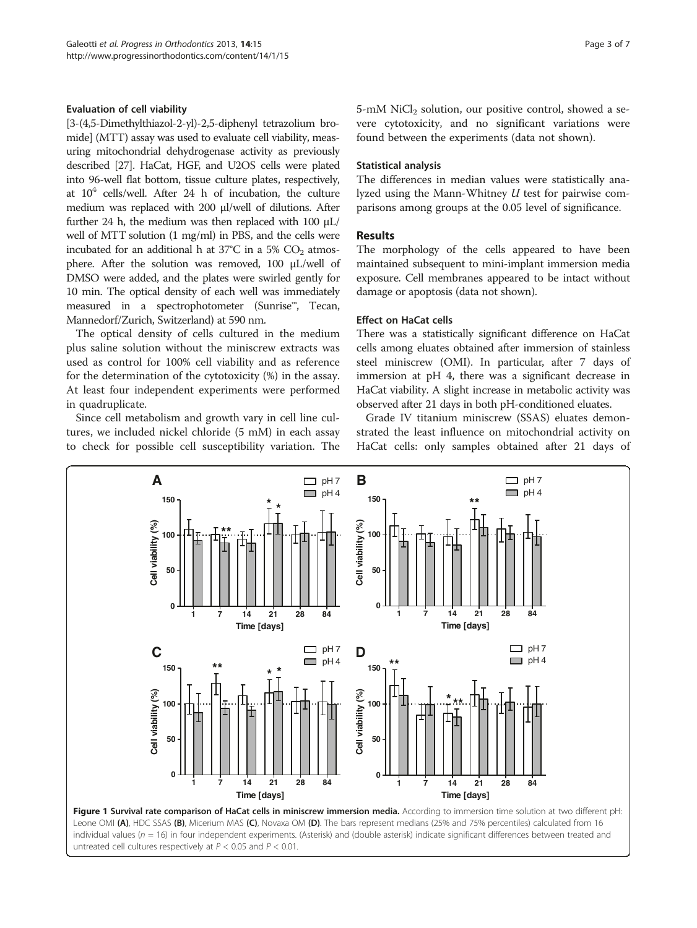#### <span id="page-2-0"></span>Evaluation of cell viability

[3-(4,5-Dimethylthiazol-2-yl)-2,5-diphenyl tetrazolium bromide] (MTT) assay was used to evaluate cell viability, measuring mitochondrial dehydrogenase activity as previously described [\[27](#page-6-0)]. HaCat, HGF, and U2OS cells were plated into 96-well flat bottom, tissue culture plates, respectively, at  $10^4$  cells/well. After 24 h of incubation, the culture medium was replaced with 200 μl/well of dilutions. After further 24 h, the medium was then replaced with 100  $\mu$ L/ well of MTT solution (1 mg/ml) in PBS, and the cells were incubated for an additional h at  $37^{\circ}$ C in a 5% CO<sub>2</sub> atmosphere. After the solution was removed, 100 μL/well of DMSO were added, and the plates were swirled gently for 10 min. The optical density of each well was immediately measured in a spectrophotometer (Sunrise™, Tecan, Mannedorf/Zurich, Switzerland) at 590 nm.

The optical density of cells cultured in the medium plus saline solution without the miniscrew extracts was used as control for 100% cell viability and as reference for the determination of the cytotoxicity (%) in the assay. At least four independent experiments were performed in quadruplicate.

Since cell metabolism and growth vary in cell line cultures, we included nickel chloride (5 mM) in each assay to check for possible cell susceptibility variation. The  $5$ -mM NiCl<sub>2</sub> solution, our positive control, showed a severe cytotoxicity, and no significant variations were found between the experiments (data not shown).

#### Statistical analysis

The differences in median values were statistically analyzed using the Mann-Whitney U test for pairwise comparisons among groups at the 0.05 level of significance.

### Results

The morphology of the cells appeared to have been maintained subsequent to mini-implant immersion media exposure. Cell membranes appeared to be intact without damage or apoptosis (data not shown).

#### Effect on HaCat cells

There was a statistically significant difference on HaCat cells among eluates obtained after immersion of stainless steel miniscrew (OMI). In particular, after 7 days of immersion at pH 4, there was a significant decrease in HaCat viability. A slight increase in metabolic activity was observed after 21 days in both pH-conditioned eluates.

Grade IV titanium miniscrew (SSAS) eluates demonstrated the least influence on mitochondrial activity on HaCat cells: only samples obtained after 21 days of

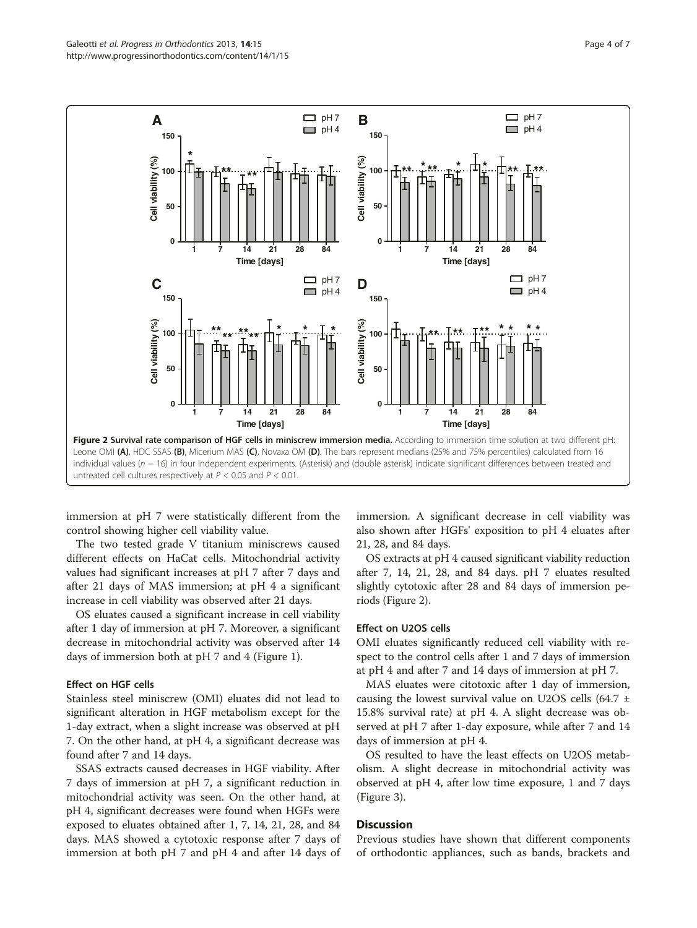

immersion at pH 7 were statistically different from the control showing higher cell viability value.

The two tested grade V titanium miniscrews caused different effects on HaCat cells. Mitochondrial activity values had significant increases at pH 7 after 7 days and after 21 days of MAS immersion; at pH 4 a significant increase in cell viability was observed after 21 days.

OS eluates caused a significant increase in cell viability after 1 day of immersion at pH 7. Moreover, a significant decrease in mitochondrial activity was observed after 14 days of immersion both at pH 7 and 4 (Figure [1](#page-2-0)).

#### Effect on HGF cells

Stainless steel miniscrew (OMI) eluates did not lead to significant alteration in HGF metabolism except for the 1-day extract, when a slight increase was observed at pH 7. On the other hand, at pH 4, a significant decrease was found after 7 and 14 days.

SSAS extracts caused decreases in HGF viability. After 7 days of immersion at pH 7, a significant reduction in mitochondrial activity was seen. On the other hand, at pH 4, significant decreases were found when HGFs were exposed to eluates obtained after 1, 7, 14, 21, 28, and 84 days. MAS showed a cytotoxic response after 7 days of immersion at both pH 7 and pH 4 and after 14 days of

immersion. A significant decrease in cell viability was also shown after HGFs' exposition to pH 4 eluates after 21, 28, and 84 days.

OS extracts at pH 4 caused significant viability reduction after 7, 14, 21, 28, and 84 days. pH 7 eluates resulted slightly cytotoxic after 28 and 84 days of immersion periods (Figure 2).

#### Effect on U2OS cells

OMI eluates significantly reduced cell viability with respect to the control cells after 1 and 7 days of immersion at pH 4 and after 7 and 14 days of immersion at pH 7.

MAS eluates were citotoxic after 1 day of immersion, causing the lowest survival value on U2OS cells  $(64.7 \pm 1)$ 15.8% survival rate) at pH 4. A slight decrease was observed at pH 7 after 1-day exposure, while after 7 and 14 days of immersion at pH 4.

OS resulted to have the least effects on U2OS metabolism. A slight decrease in mitochondrial activity was observed at pH 4, after low time exposure, 1 and 7 days (Figure [3\)](#page-4-0).

#### Discussion

Previous studies have shown that different components of orthodontic appliances, such as bands, brackets and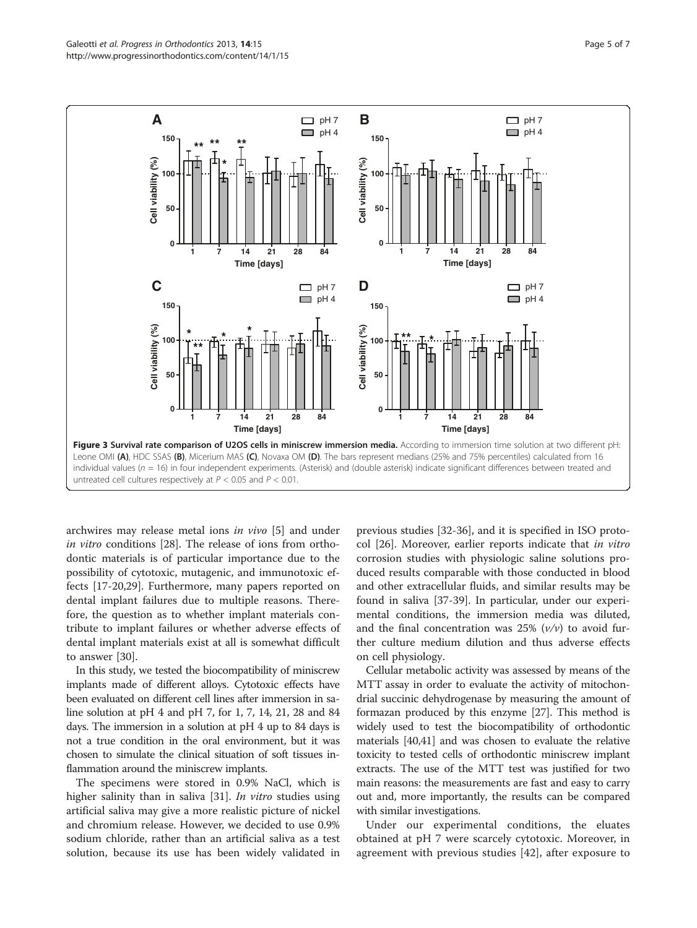<span id="page-4-0"></span>

archwires may release metal ions in vivo [\[5](#page-5-0)] and under in vitro conditions [[28\]](#page-6-0). The release of ions from orthodontic materials is of particular importance due to the possibility of cytotoxic, mutagenic, and immunotoxic effects [\[17](#page-6-0)-[20,29\]](#page-6-0). Furthermore, many papers reported on dental implant failures due to multiple reasons. Therefore, the question as to whether implant materials contribute to implant failures or whether adverse effects of dental implant materials exist at all is somewhat difficult to answer [[30](#page-6-0)].

In this study, we tested the biocompatibility of miniscrew implants made of different alloys. Cytotoxic effects have been evaluated on different cell lines after immersion in saline solution at pH 4 and pH 7, for 1, 7, 14, 21, 28 and 84 days. The immersion in a solution at pH 4 up to 84 days is not a true condition in the oral environment, but it was chosen to simulate the clinical situation of soft tissues inflammation around the miniscrew implants.

The specimens were stored in 0.9% NaCl, which is higher salinity than in saliva [[31](#page-6-0)]. In vitro studies using artificial saliva may give a more realistic picture of nickel and chromium release. However, we decided to use 0.9% sodium chloride, rather than an artificial saliva as a test solution, because its use has been widely validated in

previous studies [[32-36\]](#page-6-0), and it is specified in ISO protocol [[26\]](#page-6-0). Moreover, earlier reports indicate that in vitro corrosion studies with physiologic saline solutions produced results comparable with those conducted in blood and other extracellular fluids, and similar results may be found in saliva [[37-39](#page-6-0)]. In particular, under our experimental conditions, the immersion media was diluted, and the final concentration was  $25\%$  ( $\nu/\nu$ ) to avoid further culture medium dilution and thus adverse effects on cell physiology.

Cellular metabolic activity was assessed by means of the MTT assay in order to evaluate the activity of mitochondrial succinic dehydrogenase by measuring the amount of formazan produced by this enzyme [\[27\]](#page-6-0). This method is widely used to test the biocompatibility of orthodontic materials [[40](#page-6-0),[41](#page-6-0)] and was chosen to evaluate the relative toxicity to tested cells of orthodontic miniscrew implant extracts. The use of the MTT test was justified for two main reasons: the measurements are fast and easy to carry out and, more importantly, the results can be compared with similar investigations.

Under our experimental conditions, the eluates obtained at pH 7 were scarcely cytotoxic. Moreover, in agreement with previous studies [[42\]](#page-6-0), after exposure to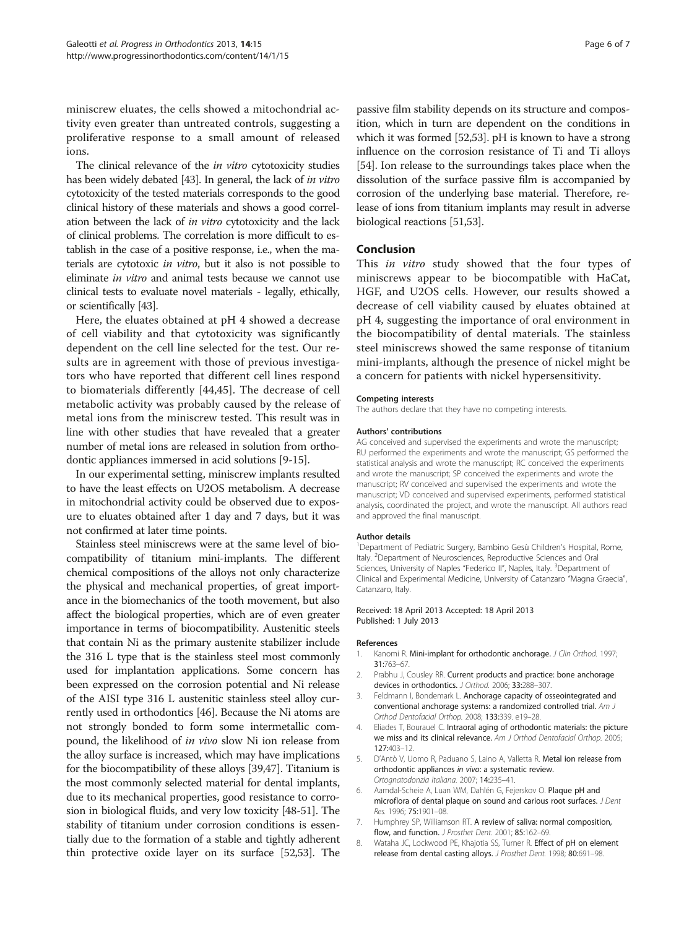<span id="page-5-0"></span>miniscrew eluates, the cells showed a mitochondrial activity even greater than untreated controls, suggesting a proliferative response to a small amount of released ions.

The clinical relevance of the *in vitro* cytotoxicity studies has been widely debated [[43\]](#page-6-0). In general, the lack of in vitro cytotoxicity of the tested materials corresponds to the good clinical history of these materials and shows a good correlation between the lack of in vitro cytotoxicity and the lack of clinical problems. The correlation is more difficult to establish in the case of a positive response, i.e., when the materials are cytotoxic in vitro, but it also is not possible to eliminate in vitro and animal tests because we cannot use clinical tests to evaluate novel materials - legally, ethically, or scientifically [[43](#page-6-0)].

Here, the eluates obtained at pH 4 showed a decrease of cell viability and that cytotoxicity was significantly dependent on the cell line selected for the test. Our results are in agreement with those of previous investigators who have reported that different cell lines respond to biomaterials differently [\[44](#page-6-0),[45\]](#page-6-0). The decrease of cell metabolic activity was probably caused by the release of metal ions from the miniscrew tested. This result was in line with other studies that have revealed that a greater number of metal ions are released in solution from orthodontic appliances immersed in acid solutions [[9-15\]](#page-6-0).

In our experimental setting, miniscrew implants resulted to have the least effects on U2OS metabolism. A decrease in mitochondrial activity could be observed due to exposure to eluates obtained after 1 day and 7 days, but it was not confirmed at later time points.

Stainless steel miniscrews were at the same level of biocompatibility of titanium mini-implants. The different chemical compositions of the alloys not only characterize the physical and mechanical properties, of great importance in the biomechanics of the tooth movement, but also affect the biological properties, which are of even greater importance in terms of biocompatibility. Austenitic steels that contain Ni as the primary austenite stabilizer include the 316 L type that is the stainless steel most commonly used for implantation applications. Some concern has been expressed on the corrosion potential and Ni release of the AISI type 316 L austenitic stainless steel alloy currently used in orthodontics [\[46\]](#page-6-0). Because the Ni atoms are not strongly bonded to form some intermetallic compound, the likelihood of in vivo slow Ni ion release from the alloy surface is increased, which may have implications for the biocompatibility of these alloys [\[39,47](#page-6-0)]. Titanium is the most commonly selected material for dental implants, due to its mechanical properties, good resistance to corrosion in biological fluids, and very low toxicity [[48-51\]](#page-6-0). The stability of titanium under corrosion conditions is essentially due to the formation of a stable and tightly adherent thin protective oxide layer on its surface [[52,53\]](#page-6-0). The

passive film stability depends on its structure and composition, which in turn are dependent on the conditions in which it was formed [[52,53\]](#page-6-0). pH is known to have a strong influence on the corrosion resistance of Ti and Ti alloys [[54](#page-6-0)]. Ion release to the surroundings takes place when the dissolution of the surface passive film is accompanied by corrosion of the underlying base material. Therefore, release of ions from titanium implants may result in adverse biological reactions [\[51,53](#page-6-0)].

#### Conclusion

This in vitro study showed that the four types of miniscrews appear to be biocompatible with HaCat, HGF, and U2OS cells. However, our results showed a decrease of cell viability caused by eluates obtained at pH 4, suggesting the importance of oral environment in the biocompatibility of dental materials. The stainless steel miniscrews showed the same response of titanium mini-implants, although the presence of nickel might be a concern for patients with nickel hypersensitivity.

#### Competing interests

The authors declare that they have no competing interests.

#### Authors' contributions

AG conceived and supervised the experiments and wrote the manuscript; RU performed the experiments and wrote the manuscript; GS performed the statistical analysis and wrote the manuscript; RC conceived the experiments and wrote the manuscript; SP conceived the experiments and wrote the manuscript; RV conceived and supervised the experiments and wrote the manuscript; VD conceived and supervised experiments, performed statistical analysis, coordinated the project, and wrote the manuscript. All authors read and approved the final manuscript.

#### Author details

<sup>1</sup>Department of Pediatric Surgery, Bambino Gesù Children's Hospital, Rome, Italy. <sup>2</sup>Department of Neurosciences, Reproductive Sciences and Oral Sciences, University of Naples "Federico II", Naples, Italy. <sup>3</sup>Department of Clinical and Experimental Medicine, University of Catanzaro "Magna Graecia", Catanzaro, Italy.

#### Received: 18 April 2013 Accepted: 18 April 2013 Published: 1 July 2013

#### References

- Kanomi R. Mini-implant for orthodontic anchorage. J Clin Orthod. 1997; 31:763–67.
- 2. Prabhu J, Cousley RR. Current products and practice: bone anchorage devices in orthodontics. J Orthod. 2006; 33:288-307.
- 3. Feldmann I, Bondemark L. Anchorage capacity of osseointegrated and conventional anchorage systems: a randomized controlled trial. Am J Orthod Dentofacial Orthop. 2008; 133:339. e19–28.
- 4. Eliades T, Bourauel C. Intraoral aging of orthodontic materials: the picture we miss and its clinical relevance. Am J Orthod Dentofacial Orthop. 2005; 127:403–12.
- 5. D'Antò V, Uomo R, Paduano S, Laino A, Valletta R. Metal ion release from orthodontic appliances in vivo: a systematic review. Ortognatodonzia Italiana. 2007; 14:235–41.
- 6. Aamdal-Scheie A, Luan WM, Dahlén G, Fejerskov O. Plaque pH and microflora of dental plaque on sound and carious root surfaces. J Dent Res. 1996; 75:1901–08.
- 7. Humphrey SP, Williamson RT. A review of saliva: normal composition, flow, and function. J Prosthet Dent. 2001; 85:162-69.
- 8. Wataha JC, Lockwood PE, Khajotia SS, Turner R. Effect of pH on element release from dental casting alloys. J Prosthet Dent. 1998; 80:691–98.